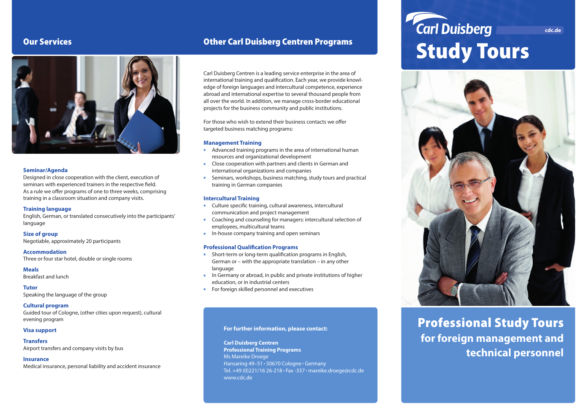# Our Services



#### **Seminar/Agenda**

Designed in close cooperation with the client, execution of seminars with experienced trainers in the respective field. As a rule we offer programs of one to three weeks, comprising training in a classroom situation and company visits.

#### **Training language**

English, German, or translated consecutively into the participants' language

#### **Size of group**

Negotiable, approximately 20 participants

#### **Accommodation**

Three or four star hotel, double or single rooms

**Meals** Breakfast and lunch

**Tutor**

Speaking the language of the group

#### **Cultural program**

Guided tour of Cologne, (other cities upon request), cultural evening program

#### **Visa support**

#### **Transfers**

Airport transfers and company visits by bus

### **Insurance**

Medical insurance, personal liability and accident insurance

# Other Carl Duisberg Centren Programs

Carl Duisberg Centren is a leading service enterprise in the area of international training and qualification. Each year, we provide knowledge of foreign languages and intercultural competence, experience abroad and international expertise to several thousand people from all over the world. In addition, we manage cross-border educational projects for the business community and public institutions.

For those who wish to extend their business contacts we offer targeted business matching programs:

### **Management Training**

- Advanced training programs in the area of international human resources and organizational development
- Close cooperation with partners and clients in German and international organizations and companies
- Seminars, workshops, business matching, study tours and practical training in German companies

### **Intercultural Training**

- Culture specific training, cultural awareness, intercultural communication and project management
- Coaching and counseling for managers: intercultural selection of employees, multicultural teams
- In-house company training and open seminars

#### **Professional Qualification Programs**

- Short-term or long-term qualification programs in English, German or – with the appropriate translation – in any other language
- In Germany or abroad, in public and private institutions of higher education, or in industrial centers
- For foreign skilled personnel and executives

#### **For further information, please contact:**

**Carl Duisberg Centren Professional Training Programs** Ms Mareike Droege Hansaring 49-51 · 50670 Cologne · Germany Tel. +49 (0)221/16 26-218 · Fax -337 · mareike.droege@cdc.de www.cdc.de

# **Carl Duisberg** Study Tours



# Professional Study Tours **for foreign management and technical personnel**